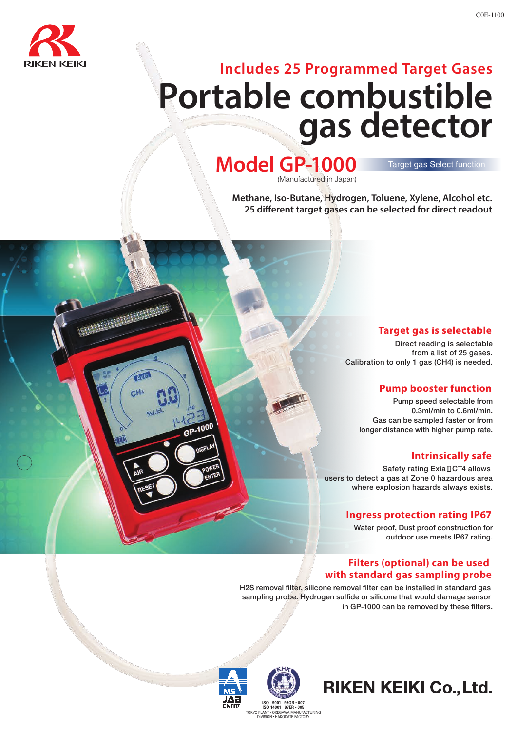

Auto  $CH<sub>4</sub>$ 

# **Includes 25 Programmed Target Gases Portable combustible gas detector**

### **Model GP-1000** (Manufactured in Japan)

#### Target gas Select function

C0E-1100

**Methane, Iso-Butane, Hydrogen, Toluene, Xylene, Alcohol etc. 25 different target gases can be selected for direct readout** 

#### **Target gas is selectable**

Direct reading is selectable from a list of 25 gases. Calibration to only 1 gas (CH4) is needed.

#### **Pump booster function**

Pump speed selectable from 0.3ml/min to 0.6ml/min. Gas can be sampled faster or from longer distance with higher pump rate.

#### **Intrinsically safe**

Safety rating ExiaⅡCT4 allows users to detect a gas at Zone 0 hazardous area where explosion hazards always exists.

#### **Ingress protection rating IP67**

Water proof, Dust proof construction for outdoor use meets IP67 rating.

#### **Filters (optional) can be used with standard gas sampling probe**

H2S removal filter, silicone removal filter can be installed in standard gas sampling probe. Hydrogen sulfide or silicone that would damage sensor in GP-1000 can be removed by these filters.



## **RIKEN KEIKI Co., Ltd.**